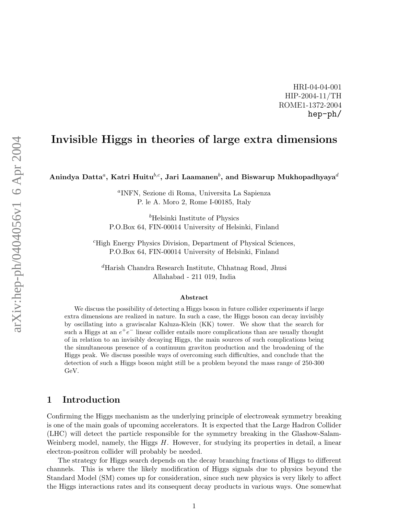HRI-04-04-001 HIP-2004-11/TH ROME1-1372-2004 hep-ph/

# Invisible Higgs in theories of large extra dimensions

Anindya Datta ${}^a,$  Katri Huitu ${}^{b,c},$  Jari Laamanen ${}^b,$  and Biswarup Mukhopadhyaya ${}^d$ 

a INFN, Sezione di Roma, Universita La Sapienza P. le A. Moro 2, Rome I-00185, Italy

 $<sup>b</sup>$ Helsinki Institute of Physics</sup> P.O.Box 64, FIN-00014 University of Helsinki, Finland

<sup>c</sup>High Energy Physics Division, Department of Physical Sciences, P.O.Box 64, FIN-00014 University of Helsinki, Finland

<sup>d</sup>Harish Chandra Research Institute, Chhatnag Road, Jhusi Allahabad - 211 019, India

#### Abstract

We discuss the possibility of detecting a Higgs boson in future collider experiments if large extra dimensions are realized in nature. In such a case, the Higgs boson can decay invisibly by oscillating into a graviscalar Kaluza-Klein (KK) tower. We show that the search for such a Higgs at an  $e^+e^-$  linear collider entails more complications than are usually thought of in relation to an invisibly decaying Higgs, the main sources of such complications being the simultaneous presence of a continuum graviton production and the broadening of the Higgs peak. We discuss possible ways of overcoming such difficulties, and conclude that the detection of such a Higgs boson might still be a problem beyond the mass range of 250-300 GeV.

### 1 Introduction

Confirming the Higgs mechanism as the underlying principle of electroweak symmetry breaking is one of the main goals of upcoming accelerators. It is expected that the Large Hadron Collider (LHC) will detect the particle responsible for the symmetry breaking in the Glashow-Salam-Weinberg model, namely, the Higgs  $H$ . However, for studying its properties in detail, a linear electron-positron collider will probably be needed.

The strategy for Higgs search depends on the decay branching fractions of Higgs to different channels. This is where the likely modification of Higgs signals due to physics beyond the Standard Model (SM) comes up for consideration, since such new physics is very likely to affect the Higgs interactions rates and its consequent decay products in various ways. One somewhat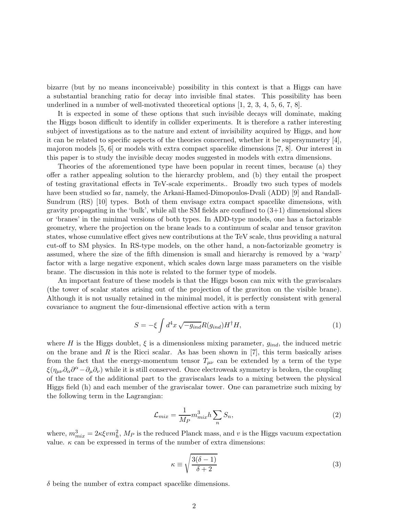bizarre (but by no means inconceivable) possibility in this context is that a Higgs can have a substantial branching ratio for decay into invisible final states. This possibility has been underlined in a number of well-motivated theoretical options [1, 2, 3, 4, 5, 6, 7, 8].

It is expected in some of these options that such invisible decays will dominate, making the Higgs boson difficult to identify in collider experiments. It is therefore a rather interesting subject of investigations as to the nature and extent of invisibility acquired by Higgs, and how it can be related to specific aspects of the theories concerned, whether it be supersymmetry [4], majoron models [5, 6] or models with extra compact spacelike dimensions [7, 8]. Our interest in this paper is to study the invisible decay modes suggested in models with extra dimensions.

Theories of the aforementioned type have been popular in recent times, because (a) they offer a rather appealing solution to the hierarchy problem, and (b) they entail the prospect of testing gravitational effects in TeV-scale experiments.. Broadly two such types of models have been studied so far, namely, the Arkani-Hamed-Dimopoulos-Dvali (ADD) [9] and Randall-Sundrum (RS) [10] types. Both of them envisage extra compact spacelike dimensions, with gravity propagating in the 'bulk', while all the SM fields are confined to  $(3+1)$  dimensional slices or 'branes' in the minimal versions of both types. In ADD-type models, one has a factorizable geometry, where the projection on the brane leads to a continuum of scalar and tensor graviton states, whose cumulative effect gives new contributions at the TeV scale, thus providing a natural cut-off to SM physics. In RS-type models, on the other hand, a non-factorizable geometry is assumed, where the size of the fifth dimension is small and hierarchy is removed by a 'warp' factor with a large negative exponent, which scales down large mass parameters on the visible brane. The discussion in this note is related to the former type of models.

An important feature of these models is that the Higgs boson can mix with the graviscalars (the tower of scalar states arising out of the projection of the graviton on the visible brane). Although it is not usually retained in the minimal model, it is perfectly consistent with general covariance to augment the four-dimensional effective action with a term

$$
S = -\xi \int d^4x \sqrt{-g_{ind}} R(g_{ind}) H^{\dagger} H,
$$
\n(1)

where H is the Higgs doublet,  $\xi$  is a dimensionless mixing parameter,  $g_{ind}$ , the induced metric on the brane and R is the Ricci scalar. As has been shown in  $[7]$ , this term basically arises from the fact that the energy-momentum tensor  $T_{\mu\nu}$  can be extended by a term of the type  $\xi(\eta_{\mu\nu}\partial_\alpha\partial^\alpha-\partial_\mu\partial_\nu)$  while it is still conserved. Once electroweak symmetry is broken, the coupling of the trace of the additional part to the graviscalars leads to a mixing between the physical Higgs field (h) and each member of the graviscalar tower. One can parametrize such mixing by the following term in the Lagrangian:

$$
\mathcal{L}_{mix} = \frac{1}{M_P} m_{mix}^3 h \sum_n S_n,\tag{2}
$$

where,  $m_{mix}^3 = 2\kappa \xi v m_h^2$ ,  $M_P$  is the reduced Planck mass, and v is the Higgs vacuum expectation value.  $\kappa$  can be expressed in terms of the number of extra dimensions:

$$
\kappa \equiv \sqrt{\frac{3(\delta - 1)}{\delta + 2}}\tag{3}
$$

 $\delta$  being the number of extra compact spacelike dimensions.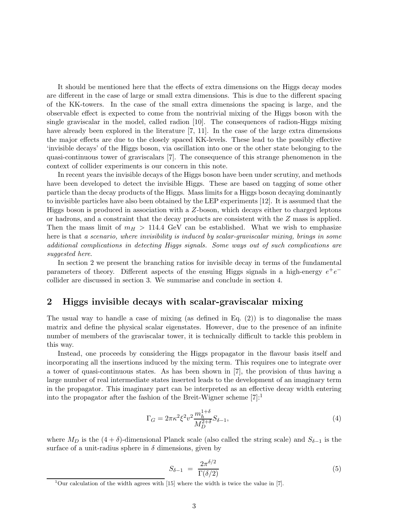It should be mentioned here that the effects of extra dimensions on the Higgs decay modes are different in the case of large or small extra dimensions. This is due to the different spacing of the KK-towers. In the case of the small extra dimensions the spacing is large, and the observable effect is expected to come from the nontrivial mixing of the Higgs boson with the single graviscalar in the model, called radion [10]. The consequences of radion-Higgs mixing have already been explored in the literature [7, 11]. In the case of the large extra dimensions the major effects are due to the closely spaced KK-levels. These lead to the possibly effective 'invisible decays' of the Higgs boson, via oscillation into one or the other state belonging to the quasi-continuous tower of graviscalars [7]. The consequence of this strange phenomenon in the context of collider experiments is our concern in this note.

In recent years the invisible decays of the Higgs boson have been under scrutiny, and methods have been developed to detect the invisible Higgs. These are based on tagging of some other particle than the decay products of the Higgs. Mass limits for a Higgs boson decaying dominantly to invisible particles have also been obtained by the LEP experiments [12]. It is assumed that the Higgs boson is produced in association with a Z-boson, which decays either to charged leptons or hadrons, and a constraint that the decay products are consistent with the Z mass is applied. Then the mass limit of  $m_H > 114.4$  GeV can be established. What we wish to emphasize here is that a scenario, where invisibility is induced by scalar-graviscalar mixing, brings in some additional complications in detecting Higgs signals. Some ways out of such complications are suggested here.

In section 2 we present the branching ratios for invisible decay in terms of the fundamental parameters of theory. Different aspects of the ensuing Higgs signals in a high-energy  $e^+e^$ collider are discussed in section 3. We summarise and conclude in section 4.

#### 2 Higgs invisible decays with scalar-graviscalar mixing

The usual way to handle a case of mixing (as defined in Eq.  $(2)$ ) is to diagonalise the mass matrix and define the physical scalar eigenstates. However, due to the presence of an infinite number of members of the graviscalar tower, it is technically difficult to tackle this problem in this way.

Instead, one proceeds by considering the Higgs propagator in the flavour basis itself and incorporating all the insertions induced by the mixing term. This requires one to integrate over a tower of quasi-continuous states. As has been shown in [7], the provision of thus having a large number of real intermediate states inserted leads to the development of an imaginary term in the propagator. This imaginary part can be interpreted as an effective decay width entering into the propagator after the fashion of the Breit-Wigner scheme  $[7]:$ <sup>1</sup>

$$
\Gamma_G = 2\pi \kappa^2 \xi^2 v^2 \frac{m_h^{1+\delta}}{M_D^{2+\delta}} S_{\delta - 1},\tag{4}
$$

where  $M_D$  is the  $(4 + \delta)$ -dimensional Planck scale (also called the string scale) and  $S_{\delta-1}$  is the surface of a unit-radius sphere in  $\delta$  dimensions, given by

$$
S_{\delta-1} = \frac{2\pi^{\delta/2}}{\Gamma(\delta/2)}\tag{5}
$$

<sup>&</sup>lt;sup>1</sup>Our calculation of the width agrees with [15] where the width is twice the value in [7].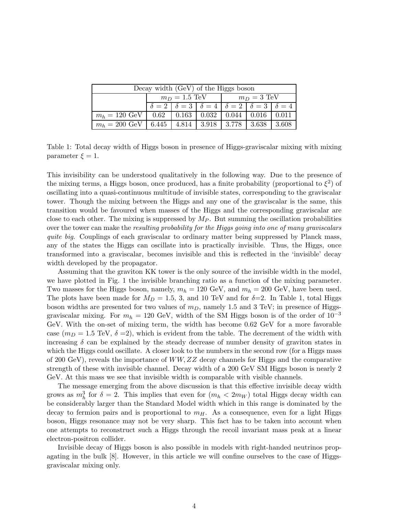| Decay width (GeV) of the Higgs boson           |                 |                                                                          |  |                             |                             |       |  |  |
|------------------------------------------------|-----------------|--------------------------------------------------------------------------|--|-----------------------------|-----------------------------|-------|--|--|
|                                                | $m_D = 1.5$ TeV |                                                                          |  | $m_D = 3$ TeV               |                             |       |  |  |
|                                                |                 | $\delta = 2  \delta = 3  \delta = 4  \delta = 2  \delta = 3  \delta = 4$ |  |                             |                             |       |  |  |
| $m_h = 120 \text{ GeV}$   0.62   0.163   0.032 |                 |                                                                          |  |                             | $0.044 \pm 0.016 \pm 0.011$ |       |  |  |
| $m_h = 200 \text{ GeV}$ 6.445                  |                 | 4.814                                                                    |  | $3.918$   $3.778$   $3.638$ |                             | 3.608 |  |  |

Table 1: Total decay width of Higgs boson in presence of Higgs-graviscalar mixing with mixing parameter  $\xi = 1$ .

This invisibility can be understood qualitatively in the following way. Due to the presence of the mixing terms, a Higgs boson, once produced, has a finite probability (proportional to  $\xi^2$ ) of oscillating into a quasi-continuous multitude of invisible states, corresponding to the graviscalar tower. Though the mixing between the Higgs and any one of the graviscalar is the same, this transition would be favoured when masses of the Higgs and the corresponding graviscalar are close to each other. The mixing is suppressed by  $M_P$ . But summing the oscillation probabilities over the tower can make the resulting probability for the Higgs going into one of many graviscalars quite big. Couplings of each graviscalar to ordinary matter being suppressed by Planck mass, any of the states the Higgs can oscillate into is practically invisible. Thus, the Higgs, once transformed into a graviscalar, becomes invisible and this is reflected in the 'invisible' decay width developed by the propagator.

Assuming that the graviton KK tower is the only source of the invisible width in the model, we have plotted in Fig. 1 the invisible branching ratio as a function of the mixing parameter. Two masses for the Higgs boson, namely,  $m_h = 120 \text{ GeV}$ , and  $m_h = 200 \text{ GeV}$ , have been used. The plots have been made for  $M_D = 1.5, 3,$  and 10 TeV and for  $\delta = 2$ . In Table 1, total Higgs boson widths are presented for two values of  $m<sub>D</sub>$ , namely 1.5 and 3 TeV; in presence of Higgsgraviscalar mixing. For  $m_h = 120 \text{ GeV}$ , width of the SM Higgs boson is of the order of  $10^{-3}$ GeV. With the on-set of mixing term, the width has become 0.62 GeV for a more favorable case  $(m_D = 1.5 \text{ TeV}, \delta = 2)$ , which is evident from the table. The decrement of the width with increasing  $\delta$  can be explained by the steady decrease of number density of graviton states in which the Higgs could oscillate. A closer look to the numbers in the second row (for a Higgs mass of 200 GeV), reveals the importance of WW, ZZ decay channels for Higgs and the comparative strength of these with invisible channel. Decay width of a 200 GeV SM Higgs boson is nearly 2 GeV. At this mass we see that invisible width is comparable with visible channels.

The message emerging from the above discussion is that this effective invisible decay width grows as  $m_h^3$  for  $\delta = 2$ . This implies that even for  $(m_h < 2m_W)$  total Higgs decay width can be considerably larger than the Standard Model width which in this range is dominated by the decay to fermion pairs and is proportional to  $m<sub>H</sub>$ . As a consequence, even for a light Higgs boson, Higgs resonance may not be very sharp. This fact has to be taken into account when one attempts to reconstruct such a Higgs through the recoil invariant mass peak at a linear electron-positron collider.

Invisible decay of Higgs boson is also possible in models with right-handed neutrinos propagating in the bulk [8]. However, in this article we will confine ourselves to the case of Higgsgraviscalar mixing only.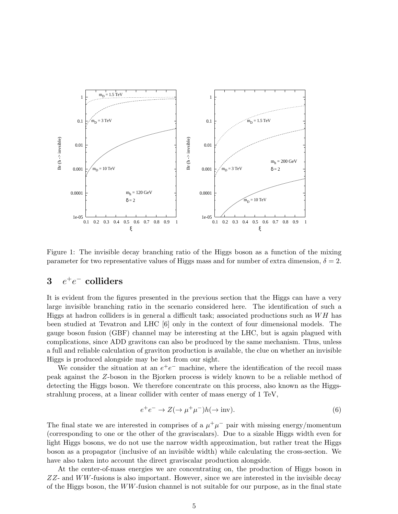

Figure 1: The invisible decay branching ratio of the Higgs boson as a function of the mixing parameter for two representative values of Higgs mass and for number of extra dimension,  $\delta = 2$ .

# $3$   $e^+e^-$  colliders

It is evident from the figures presented in the previous section that the Higgs can have a very large invisible branching ratio in the scenario considered here. The identification of such a Higgs at hadron colliders is in general a difficult task; associated productions such as  $WH$  has been studied at Tevatron and LHC [6] only in the context of four dimensional models. The gauge boson fusion (GBF) channel may be interesting at the LHC, but is again plagued with complications, since ADD gravitons can also be produced by the same mechanism. Thus, unless a full and reliable calculation of graviton production is available, the clue on whether an invisible Higgs is produced alongside may be lost from our sight.

We consider the situation at an  $e^+e^-$  machine, where the identification of the recoil mass peak against the Z-boson in the Bjorken process is widely known to be a reliable method of detecting the Higgs boson. We therefore concentrate on this process, also known as the Higgsstrahlung process, at a linear collider with center of mass energy of 1 TeV,

$$
e^{+}e^{-} \to Z(\to \mu^{+}\mu^{-})h(\to \text{inv}). \tag{6}
$$

The final state we are interested in comprises of a  $\mu^+\mu^-$  pair with missing energy/momentum (corresponding to one or the other of the graviscalars). Due to a sizable Higgs width even for light Higgs bosons, we do not use the narrow width approximation, but rather treat the Higgs boson as a propagator (inclusive of an invisible width) while calculating the cross-section. We have also taken into account the direct graviscalar production alongside.

At the center-of-mass energies we are concentrating on, the production of Higgs boson in  $ZZ$ - and  $WW$ -fusions is also important. However, since we are interested in the invisible decay of the Higgs boson, the  $WW$ -fusion channel is not suitable for our purpose, as in the final state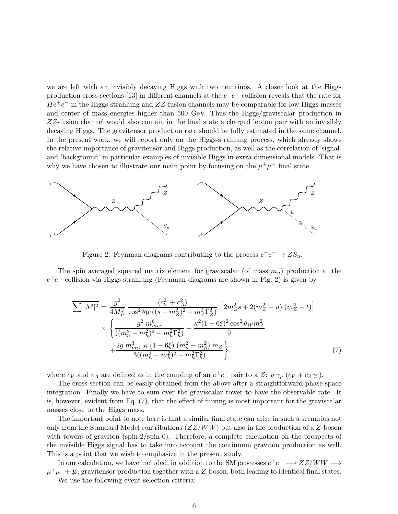we are left with an invisibly decaying Higgs with two neutrinos. A closer look at the Higgs production cross-sections [13] in different channels at the  $e^+e^-$  collision reveals that the rate for  $He^+e^-$  in the Higgs-strahlung and ZZ fusion channels may be comparable for low Higgs masses and center of mass energies higher than 500 GeV. Thus the Higgs/graviscalar production in ZZ-fusion channel would also contain in the final state a charged lepton pair with an invisibly decaying Higgs. The gravitensor production rate should be fully estimated in the same channel. In the present work, we will report only on the Higgs-strahlung process, which already shows the relative importance of gravitensor and Higgs production, as well as the correlation of 'signal' and 'background' in particular examples of invisible Higgs in extra dimensional models. That is why we have chosen to illustrate our main point by focusing on the  $\mu^+\mu^-$  final state.



Figure 2: Feynman diagrams contributing to the process  $e^+e^- \to ZS_n$ .

The spin averaged squared matrix element for graviscalar (of mass  $m_n$ ) production at the  $e^+e^-$  collision via Higgs-strahlung (Feynman diagrams are shown in Fig. 2) is given by

$$
\overline{\sum |\mathcal{M}|^2} = \frac{g^2}{4M_P^2} \frac{(c_V^2 + c_A^2)}{\cos^2 \theta_W((s - m_Z^2)^2 + m_Z^2 \Gamma_Z^2)} \left[ 2m_Z^2 s + 2(m_Z^2 - u) (m_Z^2 - t) \right]
$$
  
\$\times \left\{ \frac{g^2 m\_{mix}^6}{((m\_n^2 - m\_h^2)^2 + m\_h^2 \Gamma\_h^2)} + \frac{\kappa^2 (1 - 6\xi)^2 \cos^2 \theta\_W m\_Z^2}{9} + \frac{2g m\_{mix}^3 \kappa (1 - 6\xi) (m\_n^2 - m\_h^2) m\_Z}{3((m\_n^2 - m\_h^2)^2 + m\_h^2 \Gamma\_h^2)} \right\}\$, (7)

where  $c_V$  and  $c_A$  are defined as in the coupling of an  $e^+e^-$  pair to a Z:  $g \gamma_\mu (c_V + c_A \gamma_5)$ .

The cross-section can be easily obtained from the above after a straightforward phase space integration. Finally we have to sum over the graviscalar tower to have the observable rate. It is, however, evident from Eq. (7), that the effect of mixing is most important for the graviscalar masses close to the Higgs mass.

The important point to note here is that a similar final state can arise in such a scenarios not only from the Standard Model contributions  $(ZZ/WW)$  but also in the production of a Z-boson with towers of graviton (spin-2/spin-0). Therefore, a complete calculation on the prospects of the invisible Higgs signal has to take into account the continuum graviton production as well. This is a point that we wish to emphasize in the present study.

In our calculation, we have included, in addition to the SM processes  $e^+e^-\longrightarrow ZZ/WW\longrightarrow$  $\mu^+\mu^-+\cancel{E}$ , gravitensor production together with a Z-boson, both leading to identical final states. We use the following event selection criteria: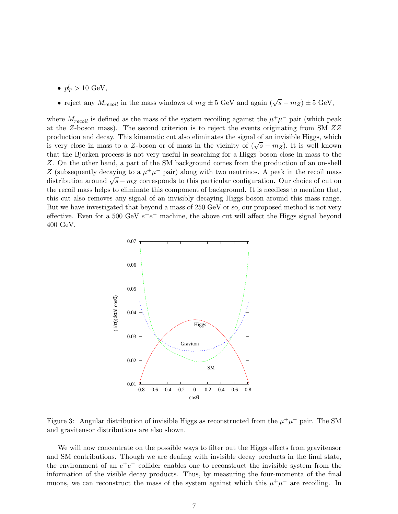•  $p_T^l > 10 \text{ GeV},$ 

# • reject any  $M_{recoil}$  in the mass windows of  $m_Z \pm 5$  GeV and again  $(\sqrt{s} - m_Z) \pm 5$  GeV,

where  $M_{recoil}$  is defined as the mass of the system recoiling against the  $\mu^+\mu^-$  pair (which peak at the Z-boson mass). The second criterion is to reject the events originating from SM ZZ production and decay. This kinematic cut also eliminates the signal of an invisible Higgs, which is very close in mass to a Z-boson or of mass in the vicinity of  $(\sqrt{s} - m_Z)$ . It is well known that the Bjorken process is not very useful in searching for a Higgs boson close in mass to the Z. On the other hand, a part of the SM background comes from the production of an on-shell Z (subsequently decaying to a  $\mu^+\mu^-$  pair) along with two neutrinos. A peak in the recoil mass distribution around  $\sqrt{s} - m_Z$  corresponds to this particular configuration. Our choice of cut on the recoil mass helps to eliminate this component of background. It is needless to mention that, this cut also removes any signal of an invisibly decaying Higgs boson around this mass range. But we have investigated that beyond a mass of 250 GeV or so, our proposed method is not very effective. Even for a 500 GeV  $e^+e^-$  machine, the above cut will affect the Higgs signal beyond 400 GeV.



Figure 3: Angular distribution of invisible Higgs as reconstructed from the  $\mu^+\mu^-$  pair. The SM and gravitensor distributions are also shown.

We will now concentrate on the possible ways to filter out the Higgs effects from gravitensor and SM contributions. Though we are dealing with invisible decay products in the final state, the environment of an  $e^+e^-$  collider enables one to reconstruct the invisible system from the information of the visible decay products. Thus, by measuring the four-momenta of the final muons, we can reconstruct the mass of the system against which this  $\mu^+\mu^-$  are recoiling. In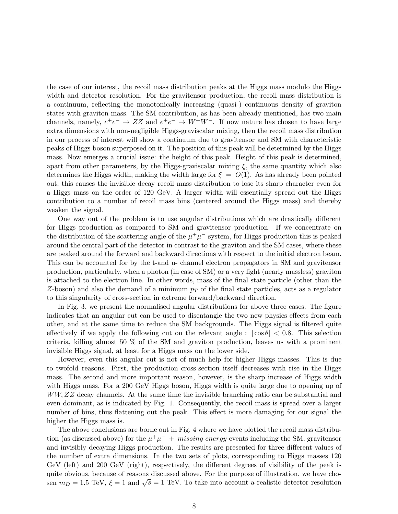the case of our interest, the recoil mass distribution peaks at the Higgs mass modulo the Higgs width and detector resolution. For the gravitensor production, the recoil mass distribution is a continuum, reflecting the monotonically increasing (quasi-) continuous density of graviton states with graviton mass. The SM contribution, as has been already mentioned, has two main channels, namely,  $e^+e^- \rightarrow ZZ$  and  $e^+e^- \rightarrow W^+W^-$ . If now nature has chosen to have large extra dimensions with non-negligible Higgs-graviscalar mixing, then the recoil mass distribution in our process of interest will show a continuum due to gravitensor and SM with characteristic peaks of Higgs boson superposed on it. The position of this peak will be determined by the Higgs mass. Now emerges a crucial issue: the height of this peak. Height of this peak is determined, apart from other parameters, by the Higgs-graviscalar mixing  $\xi$ , the same quantity which also determines the Higgs width, making the width large for  $\xi = O(1)$ . As has already been pointed out, this causes the invisible decay recoil mass distribution to lose its sharp character even for a Higgs mass on the order of 120 GeV. A larger width will essentially spread out the Higgs contribution to a number of recoil mass bins (centered around the Higgs mass) and thereby weaken the signal.

One way out of the problem is to use angular distributions which are drastically different for Higgs production as compared to SM and gravitensor production. If we concentrate on the distribution of the scattering angle of the  $\mu^+\mu^-$  system, for Higgs production this is peaked around the central part of the detector in contrast to the graviton and the SM cases, where these are peaked around the forward and backward directions with respect to the initial electron beam. This can be accounted for by the t-and u- channel electron propagators in SM and gravitensor production, particularly, when a photon (in case of SM) or a very light (nearly massless) graviton is attached to the electron line. In other words, mass of the final state particle (other than the Z-boson) and also the demand of a minimum  $p<sub>T</sub>$  of the final state particles, acts as a regulator to this singularity of cross-section in extreme forward/backward direction.

In Fig. 3, we present the normalised angular distributions for above three cases. The figure indicates that an angular cut can be used to disentangle the two new physics effects from each other, and at the same time to reduce the SM backgrounds. The Higgs signal is filtered quite effectively if we apply the following cut on the relevant angle :  $|\cos \theta| < 0.8$ . This selection criteria, killing almost 50 % of the SM and graviton production, leaves us with a prominent invisible Higgs signal, at least for a Higgs mass on the lower side.

However, even this angular cut is not of much help for higher Higgs masses. This is due to twofold reasons. First, the production cross-section itself decreases with rise in the Higgs mass. The second and more important reason, however, is the sharp increase of Higgs width with Higgs mass. For a 200 GeV Higgs boson, Higgs width is quite large due to opening up of WW, ZZ decay channels. At the same time the invisible branching ratio can be substantial and even dominant, as is indicated by Fig. 1. Consequently, the recoil mass is spread over a larger number of bins, thus flattening out the peak. This effect is more damaging for our signal the higher the Higgs mass is.

The above conclusions are borne out in Fig. 4 where we have plotted the recoil mass distribution (as discussed above) for the  $\mu^+\mu^-$  + missing energy events including the SM, gravitensor and invisibly decaying Higgs production. The results are presented for three different values of the number of extra dimensions. In the two sets of plots, corresponding to Higgs masses 120 GeV (left) and 200 GeV (right), respectively, the different degrees of visibility of the peak is quite obvious, because of reasons discussed above. For the purpose of illustration, we have chosen  $m_D = 1.5$  TeV,  $\xi = 1$  and  $\sqrt{s} = 1$  TeV. To take into account a realistic detector resolution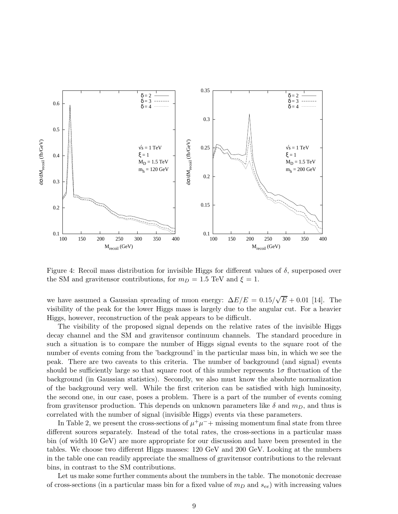

Figure 4: Recoil mass distribution for invisible Higgs for different values of  $\delta$ , superposed over the SM and gravitensor contributions, for  $m_D = 1.5$  TeV and  $\xi = 1$ .

we have assumed a Gaussian spreading of muon energy:  $\Delta E/E = 0.15/\sqrt{E} + 0.01$  [14]. The visibility of the peak for the lower Higgs mass is largely due to the angular cut. For a heavier Higgs, however, reconstruction of the peak appears to be difficult.

The visibility of the proposed signal depends on the relative rates of the invisible Higgs decay channel and the SM and gravitensor continuum channels. The standard procedure in such a situation is to compare the number of Higgs signal events to the square root of the number of events coming from the 'background' in the particular mass bin, in which we see the peak. There are two caveats to this criteria. The number of background (and signal) events should be sufficiently large so that square root of this number represents  $1\sigma$  fluctuation of the background (in Gaussian statistics). Secondly, we also must know the absolute normalization of the background very well. While the first criterion can be satisfied with high luminosity, the second one, in our case, poses a problem. There is a part of the number of events coming from gravitensor production. This depends on unknown parameters like  $\delta$  and  $m_D$ , and thus is correlated with the number of signal (invisible Higgs) events via these parameters.

In Table 2, we present the cross-sections of  $\mu^+\mu^-$  missing momentum final state from three different sources separately. Instead of the total rates, the cross-sections in a particular mass bin (of width 10 GeV) are more appropriate for our discussion and have been presented in the tables. We choose two different Higgs masses: 120 GeV and 200 GeV. Looking at the numbers in the table one can readily appreciate the smallness of gravitensor contributions to the relevant bins, in contrast to the SM contributions.

Let us make some further comments about the numbers in the table. The monotonic decrease of cross-sections (in a particular mass bin for a fixed value of  $m_D$  and  $s_{ee}$ ) with increasing values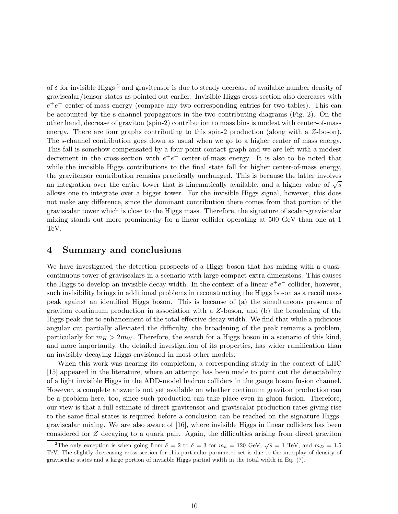of  $\delta$  for invisible Higgs  $^2$  and gravitensor is due to steady decrease of available number density of graviscalar/tensor states as pointed out earlier. Invisible Higgs cross-section also decreases with  $e^+e^-$  center-of-mass energy (compare any two corresponding entries for two tables). This can be accounted by the s-channel propagators in the two contributing diagrams (Fig. 2). On the other hand, decrease of graviton (spin-2) contribution to mass bins is modest with center-of-mass energy. There are four graphs contributing to this spin-2 production (along with a Z-boson). The s-channel contribution goes down as usual when we go to a higher center of mass energy. This fall is somehow compensated by a four-point contact graph and we are left with a modest decrement in the cross-section with  $e^+e^-$  center-of-mass energy. It is also to be noted that while the invisible Higgs contributions to the final state fall for higher center-of-mass energy, the gravitensor contribution remains practically unchanged. This is because the latter involves an integration over the entire tower that is kinematically available, and a higher value of  $\sqrt{s}$ allows one to integrate over a bigger tower. For the invisible Higgs signal, however, this does not make any difference, since the dominant contribution there comes from that portion of the graviscalar tower which is close to the Higgs mass. Therefore, the signature of scalar-graviscalar mixing stands out more prominently for a linear collider operating at 500 GeV than one at 1 TeV.

#### 4 Summary and conclusions

We have investigated the detection prospects of a Higgs boson that has mixing with a quasicontinuous tower of graviscalars in a scenario with large compact extra dimensions. This causes the Higgs to develop an invisible decay width. In the context of a linear  $e^+e^-$  collider, however, such invisibility brings in additional problems in reconstructing the Higgs boson as a recoil mass peak against an identified Higgs boson. This is because of (a) the simultaneous presence of graviton continuum production in association with a Z-boson, and (b) the broadening of the Higgs peak due to enhancement of the total effective decay width. We find that while a judicious angular cut partially alleviated the difficulty, the broadening of the peak remains a problem, particularly for  $m_H > 2m_W$ . Therefore, the search for a Higgs boson in a scenario of this kind, and more importantly, the detailed investigation of its properties, has wider ramification than an invisibly decaying Higgs envisioned in most other models.

When this work was nearing its completion, a corresponding study in the context of LHC [15] appeared in the literature, where an attempt has been made to point out the detectability of a light invisible Higgs in the ADD-model hadron colliders in the gauge boson fusion channel. However, a complete answer is not yet available on whether continuum graviton production can be a problem here, too, since such production can take place even in gluon fusion. Therefore, our view is that a full estimate of direct gravitensor and graviscalar production rates giving rise to the same final states is required before a conclusion can be reached on the signature Higgsgraviscalar mixing. We are also aware of [16], where invisible Higgs in linear colliders has been considered for Z decaying to a quark pair. Again, the difficulties arising from direct graviton

<sup>&</sup>lt;sup>2</sup>The only exception is when going from  $\delta = 2$  to  $\delta = 3$  for  $m_h = 120$  GeV,  $\sqrt{s} = 1$  TeV, and  $m_D = 1.5$ TeV. The slightly decreasing cross section for this particular parameter set is due to the interplay of density of graviscalar states and a large portion of invisible Higgs partial width in the total width in Eq. (7).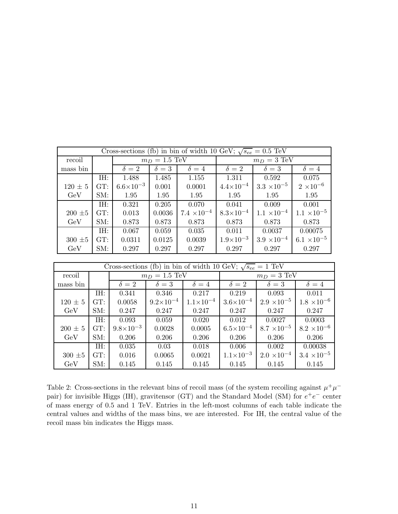| Cross-sections (fb) in bin of width 10 GeV; $\sqrt{s_{ee}} = 0.5$ TeV |         |                    |            |                      |                       |                      |                      |  |
|-----------------------------------------------------------------------|---------|--------------------|------------|----------------------|-----------------------|----------------------|----------------------|--|
| recoil                                                                |         | $m_D = 1.5$ TeV    |            |                      | $m_D = 3 \text{ TeV}$ |                      |                      |  |
| mass bin                                                              |         | $\delta = 2$       | $\delta=3$ | $\delta = 4$         | $\delta = 2$          | $\delta = 3$         | $\delta = 4$         |  |
|                                                                       | IH:     | 1.488              | 1.485      | 1.155                | 1.311                 | 0.592                | 0.075                |  |
| $120 \pm 5$                                                           | GT:     | $6.6\times10^{-3}$ | 0.001      | 0.0001               | $4.4\times10^{-4}$    | $3.3 \times 10^{-5}$ | $2 \times 10^{-6}$   |  |
| GeV                                                                   | SM:     | 1.95               | 1.95       | 1.95                 | 1.95                  | 1.95                 | 1.95                 |  |
|                                                                       | IH:     | 0.321              | 0.205      | 0.070                | 0.041                 | 0.009                | 0.001                |  |
| $200\,\pm\!5$                                                         | GT:     | 0.013              | 0.0036     | $7.4 \times 10^{-4}$ | $8.3 \times 10^{-4}$  | $1.1 \times 10^{-4}$ | $1.1 \times 10^{-5}$ |  |
| GeV                                                                   | SM:     | 0.873              | 0.873      | 0.873                | 0.873                 | 0.873                | 0.873                |  |
|                                                                       | $I H$ : | 0.067              | 0.059      | 0.035                | 0.011                 | 0.0037               | 0.00075              |  |
| $300\,\pm\!5$                                                         | GT:     | 0.0311             | 0.0125     | 0.0039               | $1.9\times10^{-3}$    | $3.9 \times 10^{-4}$ | $6.1 \times 10^{-5}$ |  |
| GeV                                                                   | SM:     | 0.297              | 0.297      | 0.297                | 0.297                 | 0.297                | 0.297                |  |

| Cross-sections (fb) in bin of width 10 GeV; $\sqrt{s_{ee}} = 1$ TeV |     |                         |                    |                      |                       |                      |                      |  |
|---------------------------------------------------------------------|-----|-------------------------|--------------------|----------------------|-----------------------|----------------------|----------------------|--|
| recoil                                                              |     | $m_D = 1.5 \text{ TeV}$ |                    |                      | $m_D = 3 \text{ TeV}$ |                      |                      |  |
| mass bin                                                            |     | $\delta = 2$            | $\delta = 3$       | $\delta = 4$         | $\delta=2$            | $\delta = 3$         | $\delta = 4$         |  |
|                                                                     | IH: | 0.341                   | 0.346              | 0.217                | 0.219                 | 0.093                | 0.011                |  |
| $120 \pm 5$                                                         | GT: | 0.0058                  | $9.2\times10^{-4}$ | $1.1 \times 10^{-4}$ | $3.6\times10^{-4}$    | $2.9 \times 10^{-5}$ | $1.8 \times 10^{-6}$ |  |
| GeV                                                                 | SM: | 0.247                   | 0.247              | 0.247                | 0.247                 | 0.247                | 0.247                |  |
|                                                                     | IH: | 0.093                   | 0.059              | 0.020                | 0.012                 | 0.0027               | 0.0003               |  |
| $200 \pm 5$                                                         | GT: | $9.8\times10^{-3}$      | 0.0028             | 0.0005               | $6.5 \times 10^{-4}$  | $8.7 \times 10^{-5}$ | $8.2 \times 10^{-6}$ |  |
| GeV                                                                 | SM: | 0.206                   | 0.206              | 0.206                | 0.206                 | 0.206                | 0.206                |  |
|                                                                     | IH: | 0.035                   | 0.03               | 0.018                | 0.006                 | 0.002                | 0.00038              |  |
| $300 \pm 5$                                                         | GT: | 0.016                   | 0.0065             | 0.0021               | $1.1 \times 10^{-3}$  | $2.0 \times 10^{-4}$ | $3.4 \times 10^{-5}$ |  |
| GeV                                                                 | SM: | 0.145                   | 0.145              | 0.145                | 0.145                 | 0.145                | 0.145                |  |

Table 2: Cross-sections in the relevant bins of recoil mass (of the system recoiling against  $\mu^+\mu^$ pair) for invisible Higgs (IH), gravitensor (GT) and the Standard Model (SM) for  $e^+e^-$  center of mass energy of 0.5 and 1 TeV. Entries in the left-most columns of each table indicate the central values and widths of the mass bins, we are interested. For IH, the central value of the recoil mass bin indicates the Higgs mass.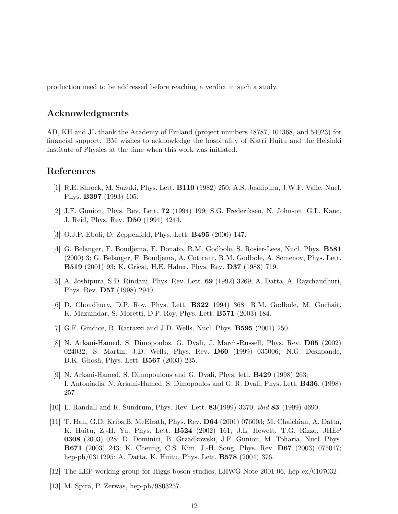production need to be addressed before reaching a verdict in such a study.

### Acknowledgments

AD, KH and JL thank the Academy of Finland (project numbers 48787, 104368, and 54023) for financial support. BM wishes to acknowledge the hospitality of Katri Huitu and the Helsinki Institute of Physics at the time when this work was initiated.

## References

- [1] R.E. Shrock, M. Suzuki, Phys. Lett. B110 (1982) 250; A.S. Joshipura, J.W.F. Valle, Nucl. Phys. B397 (1993) 105.
- [2] J.F. Gunion, Phys. Rev. Lett. 72 (1994) 199; S.G. Frederiksen, N. Johnson, G.L. Kane, J. Reid, Phys. Rev. D50 (1994) 4244.
- [3] O.J.P. Eboli, D. Zeppenfeld, Phys. Lett. B495 (2000) 147.
- [4] G. Belanger, F. Boudjema, F. Donato, R.M. Godbole, S. Rosier-Lees, Nucl. Phys. B581 (2000) 3; G. Belanger, F. Boudjema, A. Cottrant, R.M. Godbole, A. Semenov, Phys. Lett. B519 (2001) 93; K. Griest, H.E. Haber, Phys. Rev. D37 (1988) 719.
- [5] A. Joshipura, S.D. Rindani, Phys. Rev. Lett. 69 (1992) 3269; A. Datta, A. Raychaudhuri, Phys. Rev. D57 (1998) 2940.
- [6] D. Choudhury, D.P. Roy, Phys. Lett. B322 1994) 368; R.M. Godbole, M. Guchait, K. Mazumdar, S. Moretti, D.P. Roy, Phys. Lett. B571 (2003) 184.
- [7] G.F. Giudice, R. Rattazzi and J.D. Wells, Nucl. Phys. B595 (2001) 250.
- [8] N. Arkani-Hamed, S. Dimopoulos, G. Dvali, J. March-Russell, Phys. Rev. D65 (2002) 024032; S. Martin, J.D. Wells, Phys. Rev. D60 (1999) 035006; N.G. Deshpande, D.K. Ghosh, Phys. Lett. B567 (2003) 235.
- [9] N. Arkani-Hamed, S. Dimopoulous and G. Dvali, Phys. lett. B429 (1998) 263; I. Antoniadis, N. Arkani-Hamed, S. Dimopoulos and G. R. Dvali, Phys. Lett. B436, (1998) 257
- [10] L. Randall and R. Sundrum, Phys. Rev. Lett. 83(1999) 3370; ibid 83 (1999) 4690.
- [11] T. Han, G.D. Kribs,B. McElrath, Phys. Rev. D64 (2001) 076003; M. Chaichian, A. Datta, K. Huitu, Z.-H. Yu, Phys. Lett. B524 (2002) 161; J.L. Hewett, T.G. Rizzo, JHEP 0308 (2003) 028; D. Dominici, B. Grzadkowski, J.F. Gunion, M. Toharia, Nucl. Phys. B671 (2003) 243; K. Cheung, C.S. Kim, J.-H. Song, Phys. Rev. D67 (2003) 075017; hep-ph/0311295; A. Datta, K. Huitu, Phys. Lett. B578 (2004) 376.
- [12] The LEP working group for Higgs boson studies, LHWG Note 2001-06, hep-ex/0107032.
- [13] M. Spira, P. Zerwas, hep-ph/9803257.